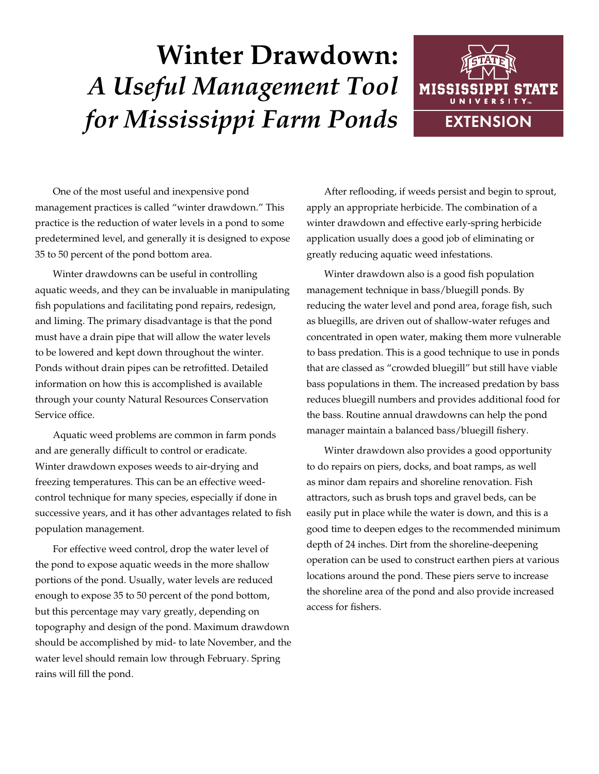## **Winter Drawdown:** *A Useful Management Tool for Mississippi Farm Ponds*



One of the most useful and inexpensive pond management practices is called "winter drawdown." This practice is the reduction of water levels in a pond to some predetermined level, and generally it is designed to expose 35 to 50 percent of the pond bottom area.

Winter drawdowns can be useful in controlling aquatic weeds, and they can be invaluable in manipulating fish populations and facilitating pond repairs, redesign, and liming. The primary disadvantage is that the pond must have a drain pipe that will allow the water levels to be lowered and kept down throughout the winter. Ponds without drain pipes can be retrofitted. Detailed information on how this is accomplished is available through your county Natural Resources Conservation Service office.

Aquatic weed problems are common in farm ponds and are generally difficult to control or eradicate. Winter drawdown exposes weeds to air-drying and freezing temperatures. This can be an effective weedcontrol technique for many species, especially if done in successive years, and it has other advantages related to fish population management.

For effective weed control, drop the water level of the pond to expose aquatic weeds in the more shallow portions of the pond. Usually, water levels are reduced enough to expose 35 to 50 percent of the pond bottom, but this percentage may vary greatly, depending on topography and design of the pond. Maximum drawdown should be accomplished by mid- to late November, and the water level should remain low through February. Spring rains will fill the pond.

After reflooding, if weeds persist and begin to sprout, apply an appropriate herbicide. The combination of a winter drawdown and effective early-spring herbicide application usually does a good job of eliminating or greatly reducing aquatic weed infestations.

Winter drawdown also is a good fish population management technique in bass/bluegill ponds. By reducing the water level and pond area, forage fish, such as bluegills, are driven out of shallow-water refuges and concentrated in open water, making them more vulnerable to bass predation. This is a good technique to use in ponds that are classed as "crowded bluegill" but still have viable bass populations in them. The increased predation by bass reduces bluegill numbers and provides additional food for the bass. Routine annual drawdowns can help the pond manager maintain a balanced bass/bluegill fishery.

Winter drawdown also provides a good opportunity to do repairs on piers, docks, and boat ramps, as well as minor dam repairs and shoreline renovation. Fish attractors, such as brush tops and gravel beds, can be easily put in place while the water is down, and this is a good time to deepen edges to the recommended minimum depth of 24 inches. Dirt from the shoreline-deepening operation can be used to construct earthen piers at various locations around the pond. These piers serve to increase the shoreline area of the pond and also provide increased access for fishers.